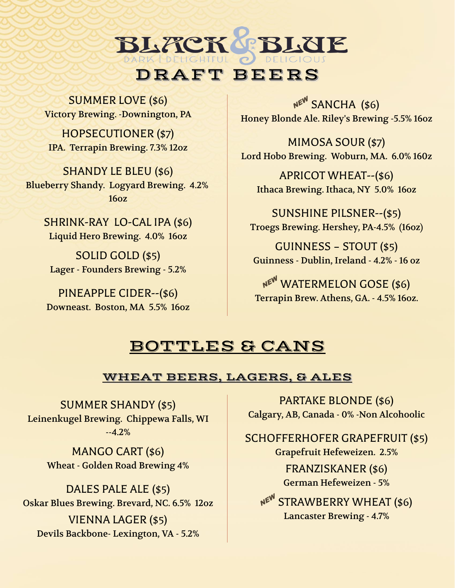SUMMER LOVE (\$6) Victory Brewing. -Downington, PA

HOPSECUTIONER (\$7) IPA. Terrapin Brewing. 7.3% 12oz  $\overline{X}$  MIMOSA SOUR (\$7)

SHANDY LE BLEU (\$6) Blueberry Shandy. Logyard Brewing. 4.2% 16oz

> SHRINK-RAY LO-CAL IPA (\$6) Liquid Hero Brewing. 4.0% 16oz

SOLID GOLD (\$5) Lager - Founders Brewing - 5.2%

PINEAPPLE CIDER--(\$6) Downeast. Boston, MA 5.5% 16oz

NEW SANCHA (\$6) Honey Blonde Ale. Riley's Brewing -5.5% 16oz

PBLUE

Lord Hobo Brewing. Woburn, MA. 6.0% 160z

APRICOT WHEAT--(\$6) Ithaca Brewing. Ithaca, NY 5.0% 16oz

SUNSHINE PILSNER--(\$5) Troegs Brewing. Hershey, PA-4.5% (16oz)

GUINNESS – STOUT (\$5) Guinness - Dublin, Ireland - 4.2% - 16 oz

NEW WATERMELON GOSE (\$6) Terrapin Brew. Athens, GA. - 4.5% 16oz.

## BOTTLES & CANS

DRAFT BEERS

BLACK

#### WHEAT BEERS, LAGERS, & ALES

SUMMER SHANDY (\$5) Leinenkugel Brewing. Chippewa Falls, WI --4.2%

> MANGO CART (\$6) Wheat - Golden Road Brewing 4%

DALES PALE ALE (\$5) Oskar Blues Brewing. Brevard, NC. 6.5% 12oz VIENNA LAGER (\$5) Devils Backbone- Lexington, VA - 5.2%

PARTAKE BLONDE (\$6) Calgary, AB, Canada - 0% -Non Alcohoolic

SCHOFFERHOFER GRAPEFRUIT (\$5) Grapefruit Hefeweizen. 2.5% FRANZISKANER (\$6) German Hefeweizen - 5%

NEW STRAWBERRY WHEAT (\$6) Lancaster Brewing - 4.7%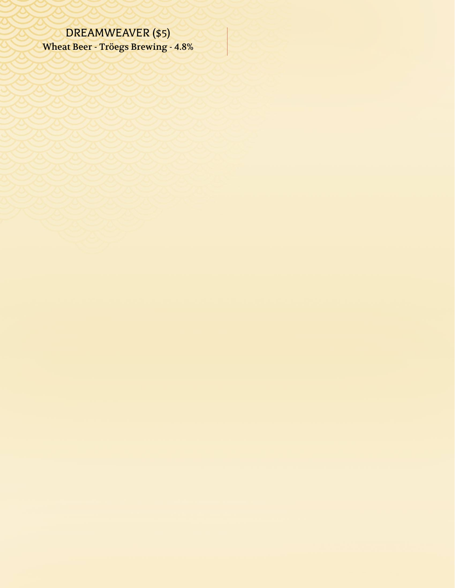# DREAMWEAVER (\$5)

Wheat Beer - Tröegs Brewing - 4.8%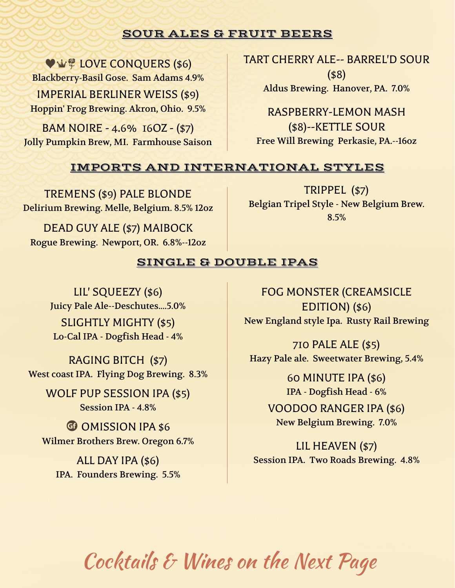### SOUR ALES & FRUIT BEERS

**WING LOVE CONQUERS (\$6)** Blackberry-Basil Gose. Sam Adams 4.9% Aldus Brewing. Hanover, PA. 7.0% IMPERIAL BERLINER WEISS (\$9) Hoppin' Frog Brewing. Akron, Ohio. 9.5% RASPBERRY-LEMON MASH

BAM NOIRE - 4.6% 16OZ - (\$7) Jolly Pumpkin Brew, MI. Farmhouse Saison TART CHERRY ALE-- BARREL'D SOUR (\$8)

(\$8)--KETTLE SOUR Free Will Brewing Perkasie, PA.--16oz

### IMPORTS AND INTERNATIONAL STYLES

TREMENS (\$9) PALE BLONDE Delirium Brewing. Melle, Belgium. 8.5% 12oz

DEAD GUY ALE (\$7) MAIBOCK Rogue Brewing. Newport, OR. 6.8%--12oz

TRIPPEL (\$7) Belgian Tripel Style - New Belgium Brew. 8.5%

### SINGLE & DOUBLE IPAS

LIL' SQUEEZY (\$6) Juicy Pale Ale--Deschutes....5.0% Lo-Cal IPA - Dogfish Head - 4%

West coast IPA. Flying Dog Brewing. 8.3% 60 MINUTE IPA (\$6)

WOLF PUP SESSION IPA (\$5) IPA - Dogfish Head - 6%

Wilmer Brothers Brew. Oregon 6.7% and LIL HEAVEN (\$7)

IPA. Founders Brewing. 5.5%

FOG MONSTER (CREAMSICLE EDITION) (\$6) SLIGHTLY MIGHTY (\$5) New England style Ipa. Rusty Rail Brewing

710 PALE ALE (\$5) RAGING BITCH (\$7) Hazy Pale ale. Sweetwater Brewing, 5.4%

Session IPA - 4.8% VOODOO RANGER IPA (\$6) **u** OMISSION IPA \$6 New Belgium Brewing. 7.0%

ALL DAY IPA (\$6) Session IPA. Two Roads Brewing. 4.8%

Cocktails & Wines on the Next Page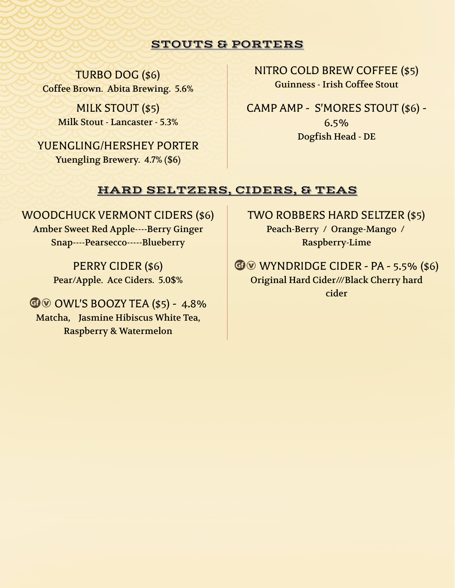#### STOUTS & PORTERS

TURBO DOG (\$6) Coffee Brown. Abita Brewing. 5.6%

> MILK STOUT (\$5) Milk Stout - Lancaster - 5.3%

YUENGLING/HERSHEY PORTER Yuengling Brewery. 4.7% (\$6)

NITRO COLD BREW COFFEE (\$5) Guinness - Irish Coffee Stout

CAMP AMP - S'MORES STOUT (\$6) - 6.5% Dogfish Head - DE

#### HARD SELTZERS, CIDERS, & TEAS

WOODCHUCK VERMONT CIDERS (\$6) Amber Sweet Red Apple----Berry Ginger Snap----Pearsecco-----Blueberry

> PERRY CIDER (\$6) Pear/Apple. Ace Ciders. 5.0\$%

 $G$  $\odot$  OWL'S BOOZY TEA (\$5) - 4.8% Matcha, Jasmine Hibiscus White Tea, Raspberry & Watermelon

TWO ROBBERS HARD SELTZER (\$5) Peach-Berry / Orange-Mango / Raspberry-Lime

 $\n **WYNDRIDGE CIDER - PA - 5.5%**  $($6)$$ Original Hard Cider///Black Cherry hard cider